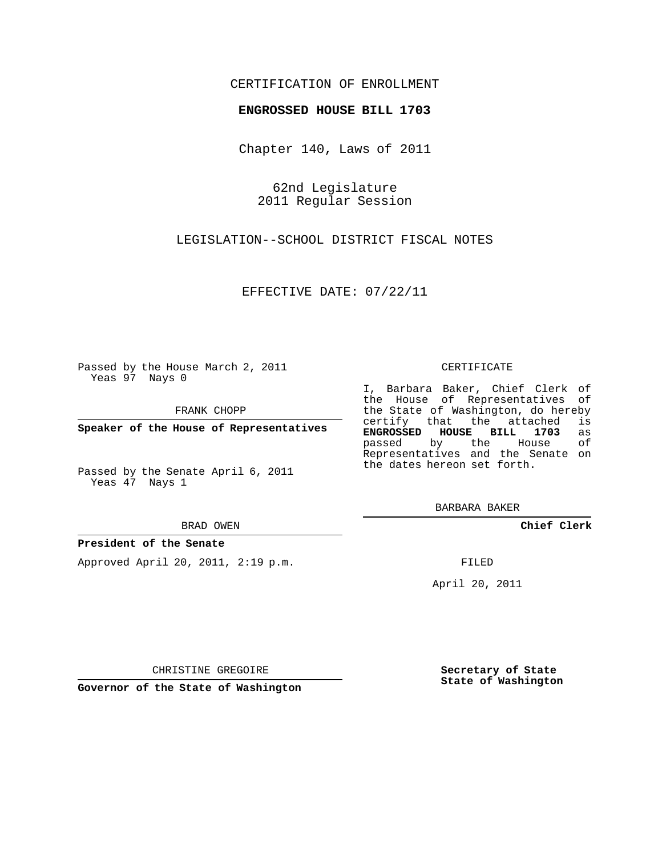## CERTIFICATION OF ENROLLMENT

### **ENGROSSED HOUSE BILL 1703**

Chapter 140, Laws of 2011

62nd Legislature 2011 Regular Session

LEGISLATION--SCHOOL DISTRICT FISCAL NOTES

EFFECTIVE DATE: 07/22/11

Passed by the House March 2, 2011 Yeas 97 Nays 0

FRANK CHOPP

**Speaker of the House of Representatives**

Passed by the Senate April 6, 2011 Yeas 47 Nays 1

#### BRAD OWEN

#### **President of the Senate**

Approved April 20, 2011, 2:19 p.m.

#### CERTIFICATE

I, Barbara Baker, Chief Clerk of the House of Representatives of the State of Washington, do hereby<br>certify that the attached is certify that the attached **ENGROSSED HOUSE BILL 1703** as passed by the House Representatives and the Senate on the dates hereon set forth.

BARBARA BAKER

**Chief Clerk**

FILED

April 20, 2011

CHRISTINE GREGOIRE

**Governor of the State of Washington**

**Secretary of State State of Washington**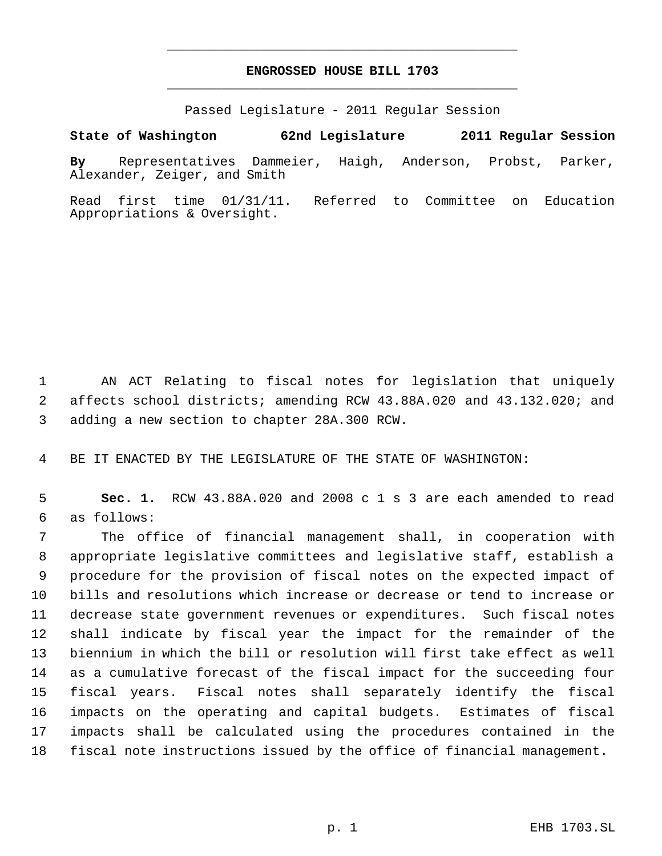# **ENGROSSED HOUSE BILL 1703** \_\_\_\_\_\_\_\_\_\_\_\_\_\_\_\_\_\_\_\_\_\_\_\_\_\_\_\_\_\_\_\_\_\_\_\_\_\_\_\_\_\_\_\_\_

\_\_\_\_\_\_\_\_\_\_\_\_\_\_\_\_\_\_\_\_\_\_\_\_\_\_\_\_\_\_\_\_\_\_\_\_\_\_\_\_\_\_\_\_\_

Passed Legislature - 2011 Regular Session

**State of Washington 62nd Legislature 2011 Regular Session**

**By** Representatives Dammeier, Haigh, Anderson, Probst, Parker, Alexander, Zeiger, and Smith

Read first time 01/31/11. Referred to Committee on Education Appropriations & Oversight.

 AN ACT Relating to fiscal notes for legislation that uniquely affects school districts; amending RCW 43.88A.020 and 43.132.020; and adding a new section to chapter 28A.300 RCW.

BE IT ENACTED BY THE LEGISLATURE OF THE STATE OF WASHINGTON:

 **Sec. 1.** RCW 43.88A.020 and 2008 c 1 s 3 are each amended to read as follows:

 The office of financial management shall, in cooperation with appropriate legislative committees and legislative staff, establish a procedure for the provision of fiscal notes on the expected impact of bills and resolutions which increase or decrease or tend to increase or decrease state government revenues or expenditures. Such fiscal notes shall indicate by fiscal year the impact for the remainder of the biennium in which the bill or resolution will first take effect as well as a cumulative forecast of the fiscal impact for the succeeding four fiscal years. Fiscal notes shall separately identify the fiscal impacts on the operating and capital budgets. Estimates of fiscal impacts shall be calculated using the procedures contained in the fiscal note instructions issued by the office of financial management.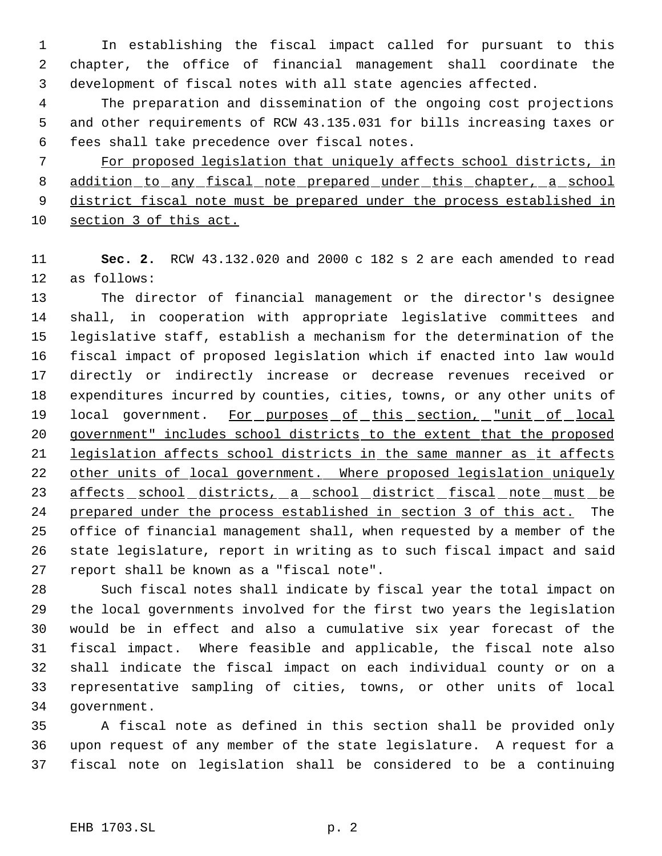In establishing the fiscal impact called for pursuant to this chapter, the office of financial management shall coordinate the development of fiscal notes with all state agencies affected.

 The preparation and dissemination of the ongoing cost projections and other requirements of RCW 43.135.031 for bills increasing taxes or fees shall take precedence over fiscal notes.

 For proposed legislation that uniquely affects school districts, in 8 addition to any fiscal note prepared under this chapter, a school 9 district fiscal note must be prepared under the process established in section 3 of this act.

 **Sec. 2.** RCW 43.132.020 and 2000 c 182 s 2 are each amended to read as follows:

 The director of financial management or the director's designee shall, in cooperation with appropriate legislative committees and legislative staff, establish a mechanism for the determination of the fiscal impact of proposed legislation which if enacted into law would directly or indirectly increase or decrease revenues received or expenditures incurred by counties, cities, towns, or any other units of 19 local government. For purposes of this section, "unit of local government" includes school districts to the extent that the proposed legislation affects school districts in the same manner as it affects other units of local government. Where proposed legislation uniquely 23 affects school districts, a school district fiscal note must be prepared under the process established in section 3 of this act. The office of financial management shall, when requested by a member of the state legislature, report in writing as to such fiscal impact and said report shall be known as a "fiscal note".

 Such fiscal notes shall indicate by fiscal year the total impact on the local governments involved for the first two years the legislation would be in effect and also a cumulative six year forecast of the fiscal impact. Where feasible and applicable, the fiscal note also shall indicate the fiscal impact on each individual county or on a representative sampling of cities, towns, or other units of local government.

 A fiscal note as defined in this section shall be provided only upon request of any member of the state legislature. A request for a fiscal note on legislation shall be considered to be a continuing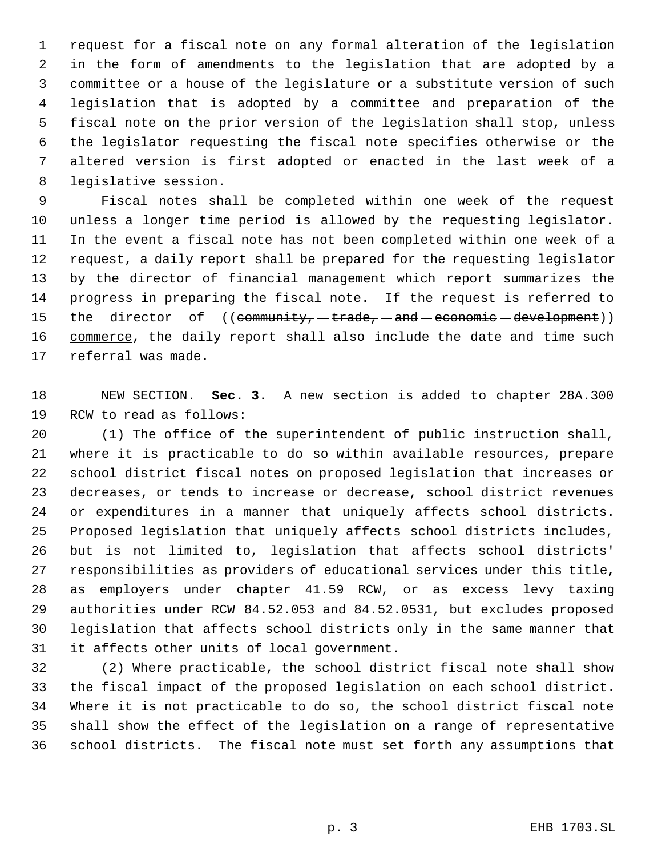request for a fiscal note on any formal alteration of the legislation in the form of amendments to the legislation that are adopted by a committee or a house of the legislature or a substitute version of such legislation that is adopted by a committee and preparation of the fiscal note on the prior version of the legislation shall stop, unless the legislator requesting the fiscal note specifies otherwise or the altered version is first adopted or enacted in the last week of a legislative session.

 Fiscal notes shall be completed within one week of the request unless a longer time period is allowed by the requesting legislator. In the event a fiscal note has not been completed within one week of a request, a daily report shall be prepared for the requesting legislator by the director of financial management which report summarizes the progress in preparing the fiscal note. If the request is referred to 15 the director of ((community, -trade, -and -economic -development)) 16 commerce, the daily report shall also include the date and time such referral was made.

 NEW SECTION. **Sec. 3.** A new section is added to chapter 28A.300 RCW to read as follows:

 (1) The office of the superintendent of public instruction shall, where it is practicable to do so within available resources, prepare school district fiscal notes on proposed legislation that increases or decreases, or tends to increase or decrease, school district revenues or expenditures in a manner that uniquely affects school districts. Proposed legislation that uniquely affects school districts includes, but is not limited to, legislation that affects school districts' responsibilities as providers of educational services under this title, as employers under chapter 41.59 RCW, or as excess levy taxing authorities under RCW 84.52.053 and 84.52.0531, but excludes proposed legislation that affects school districts only in the same manner that it affects other units of local government.

 (2) Where practicable, the school district fiscal note shall show the fiscal impact of the proposed legislation on each school district. Where it is not practicable to do so, the school district fiscal note shall show the effect of the legislation on a range of representative school districts. The fiscal note must set forth any assumptions that